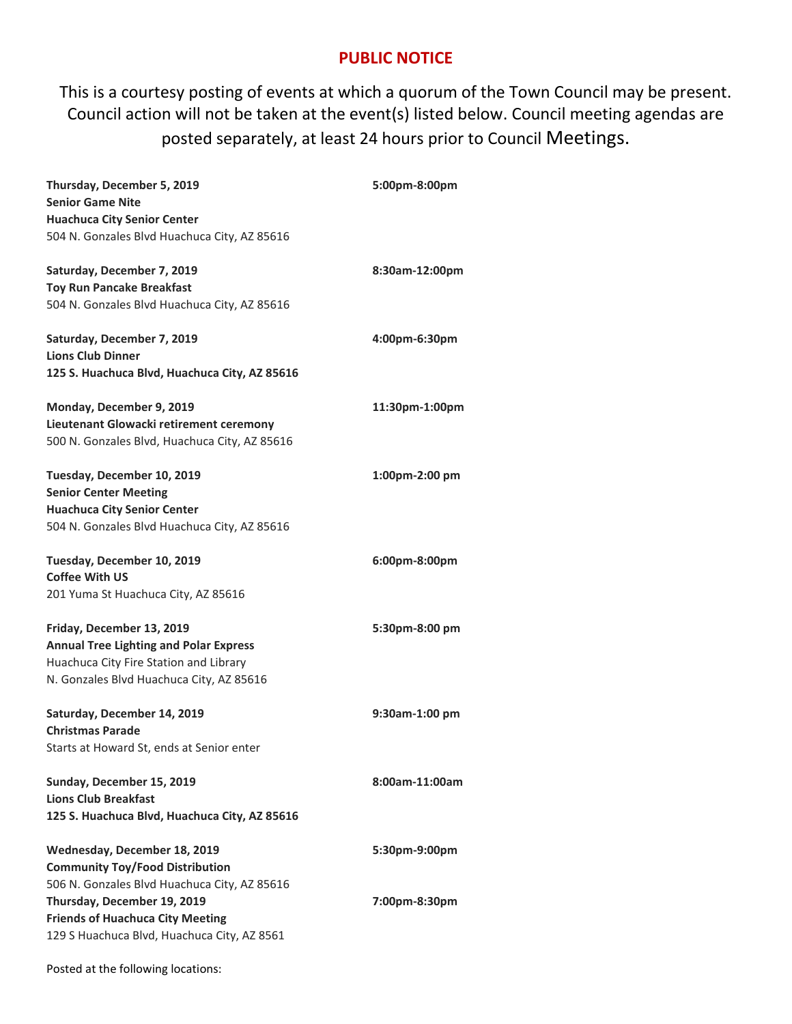## **PUBLIC NOTICE**

This is a courtesy posting of events at which a quorum of the Town Council may be present. Council action will not be taken at the event(s) listed below. Council meeting agendas are posted separately, at least 24 hours prior to Council Meetings.

| Thursday, December 5, 2019<br><b>Senior Game Nite</b><br><b>Huachuca City Senior Center</b><br>504 N. Gonzales Blvd Huachuca City, AZ 85616                      | 5:00pm-8:00pm  |
|------------------------------------------------------------------------------------------------------------------------------------------------------------------|----------------|
| Saturday, December 7, 2019<br><b>Toy Run Pancake Breakfast</b><br>504 N. Gonzales Blvd Huachuca City, AZ 85616                                                   | 8:30am-12:00pm |
| Saturday, December 7, 2019<br><b>Lions Club Dinner</b><br>125 S. Huachuca Blvd, Huachuca City, AZ 85616                                                          | 4:00pm-6:30pm  |
| Monday, December 9, 2019<br>Lieutenant Glowacki retirement ceremony<br>500 N. Gonzales Blvd, Huachuca City, AZ 85616                                             | 11:30pm-1:00pm |
| Tuesday, December 10, 2019<br><b>Senior Center Meeting</b><br><b>Huachuca City Senior Center</b><br>504 N. Gonzales Blvd Huachuca City, AZ 85616                 | 1:00pm-2:00 pm |
| Tuesday, December 10, 2019<br><b>Coffee With US</b><br>201 Yuma St Huachuca City, AZ 85616                                                                       | 6:00pm-8:00pm  |
| Friday, December 13, 2019<br><b>Annual Tree Lighting and Polar Express</b><br>Huachuca City Fire Station and Library<br>N. Gonzales Blvd Huachuca City, AZ 85616 | 5:30pm-8:00 pm |
| Saturday, December 14, 2019<br><b>Christmas Parade</b><br>Starts at Howard St, ends at Senior enter                                                              | 9:30am-1:00 pm |
| Sunday, December 15, 2019<br><b>Lions Club Breakfast</b><br>125 S. Huachuca Blvd, Huachuca City, AZ 85616                                                        | 8:00am-11:00am |
| Wednesday, December 18, 2019<br><b>Community Toy/Food Distribution</b><br>506 N. Gonzales Blvd Huachuca City, AZ 85616                                           | 5:30pm-9:00pm  |
| Thursday, December 19, 2019<br><b>Friends of Huachuca City Meeting</b><br>129 S Huachuca Blvd, Huachuca City, AZ 8561                                            | 7:00pm-8:30pm  |

Posted at the following locations: